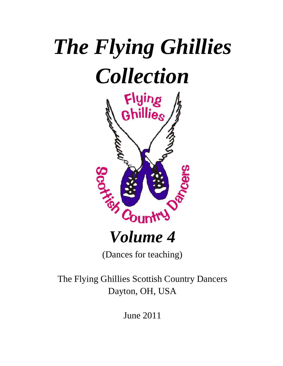# *The Flying Ghillies Collection*



## *Volume 4*

(Dances for teaching)

The Flying Ghillies Scottish Country Dancers Dayton, OH, USA

June 2011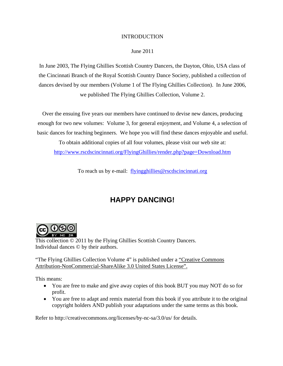#### INTRODUCTION

#### June 2011

In June 2003, The Flying Ghillies Scottish Country Dancers, the Dayton, Ohio, USA class of the Cincinnati Branch of the Royal Scottish Country Dance Society, published a collection of dances devised by our members (Volume 1 of The Flying Ghillies Collection). In June 2006, we published The Flying Ghillies Collection, Volume 2.

Over the ensuing five years our members have continued to devise new dances, producing enough for two new volumes: Volume 3, for general enjoyment, and Volume 4, a selection of basic dances for teaching beginners. We hope you will find these dances enjoyable and useful.

To obtain additional copies of all four volumes, please visit our web site at: http://www.rscdscincinnati.org/FlyingGhillies/render.php?page=Download.htm

To reach us by e-mail: flyingghillies@rscdscincinnati.org

#### **HAPPY DANCING!**



This collection © 2011 by the Flying Ghillies Scottish Country Dancers. Individual dances © by their authors.

"The Flying Ghillies Collection Volume 4" is published under a "Creative Commons" Attribution-NonCommercial-ShareAlike 3.0 United States License".

This means:

- You are free to make and give away copies of this book BUT you may NOT do so for profit.
- You are free to adapt and remix material from this book if you attribute it to the original copyright holders AND publish your adaptations under the same terms as this book.

Refer to http://creativecommons.org/licenses/by-nc-sa/3.0/us/ for details.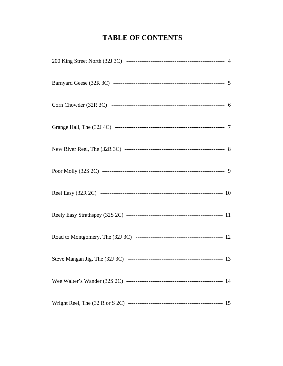#### **TABLE OF CONTENTS**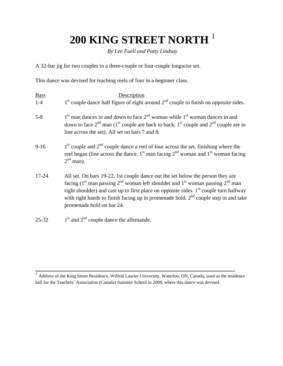### **200 KING STREET NORTH** <sup>1</sup>

*By Lee Fuell and Patty Lindsay* 

A 32-bar jig for two couples in a three-couple or four-couple longwise set.

This dance was devised for teaching reels of four in a beginner class.

| <b>Bars</b> | Description                                                                                                                                                                                                                                                                                                                                                                                                                      |
|-------------|----------------------------------------------------------------------------------------------------------------------------------------------------------------------------------------------------------------------------------------------------------------------------------------------------------------------------------------------------------------------------------------------------------------------------------|
| $1 - 4$     | $1st$ couple dance half figure of eight around $2nd$ couple to finish on opposite sides.                                                                                                                                                                                                                                                                                                                                         |
| $5 - 8$     | $1st$ man dances in and down to face $2nd$ woman while $1st$ woman dances in and<br>down to face $2^{nd}$ man (1 <sup>st</sup> couple are back to back; 1 <sup>st</sup> couple and $2^{nd}$ couple are in<br>line across the set). All set on bars 7 and 8.                                                                                                                                                                      |
| $9-16$      | $1st$ couple and $2nd$ couple dance a reel of four across the set, finishing where the<br>reel began (line across the dance, $1st$ man facing $2nd$ woman and $1st$ woman facing<br>$2nd$ man).                                                                                                                                                                                                                                  |
| 17-24       | All set. On bars 19-22, 1st couple dance out the set below the person they are<br>facing (1 <sup>st</sup> man passing 2 <sup>nd</sup> woman left shoulder and 1 <sup>st</sup> woman passing 2 <sup>nd</sup> man<br>right shoulder) and cast up to first place on opposite sides. $1st$ couple turn halfway<br>with right hands to finish facing up in promenade hold. $2nd$ couple step in and take<br>promenade hold on bar 24. |
| $25 - 32$   | $1st$ and $2nd$ couple dance the allemande.                                                                                                                                                                                                                                                                                                                                                                                      |

 $\overline{a}$ 

<sup>&</sup>lt;sup>1</sup> Address of the King Street Residence, Wilfrid Laurier University, Waterloo, ON, Canada, used as the residence hall for the Teachers' Association (Canada) Summer School in 2008, where this dance was devised.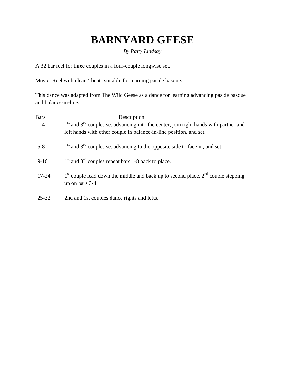### **BARNYARD GEESE**

#### *By Patty Lindsay*

A 32 bar reel for three couples in a four-couple longwise set.

Music: Reel with clear 4 beats suitable for learning pas de basque.

This dance was adapted from The Wild Geese as a dance for learning advancing pas de basque and balance-in-line.

| <b>Bars</b> | Description                                                                                             |
|-------------|---------------------------------------------------------------------------------------------------------|
| $1 - 4$     | $1st$ and $3rd$ couples set advancing into the center, join right hands with partner and                |
|             | left hands with other couple in balance-in-line position, and set.                                      |
| $5 - 8$     | $1st$ and $3rd$ couples set advancing to the opposite side to face in, and set.                         |
| $9-16$      | $1st$ and $3rd$ couples repeat bars 1-8 back to place.                                                  |
| $17 - 24$   | $1st$ couple lead down the middle and back up to second place, $2nd$ couple stepping<br>up on bars 3-4. |
| 25-32       | 2nd and 1st couples dance rights and lefts.                                                             |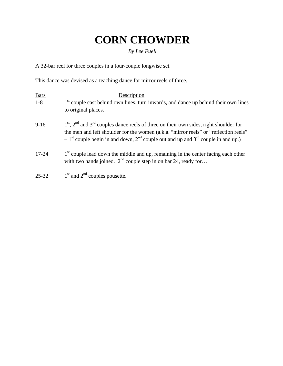### **CORN CHOWDER**

#### *By Lee Fuell*

A 32-bar reel for three couples in a four-couple longwise set.

This dance was devised as a teaching dance for mirror reels of three.

| <b>Bars</b> | Description                                                                                                                                                                                                                                                                  |
|-------------|------------------------------------------------------------------------------------------------------------------------------------------------------------------------------------------------------------------------------------------------------------------------------|
| $1-8$       | 1 <sup>st</sup> couple cast behind own lines, turn inwards, and dance up behind their own lines<br>to original places.                                                                                                                                                       |
| $9-16$      | $1st$ , $2nd$ and $3rd$ couples dance reels of three on their own sides, right shoulder for<br>the men and left shoulder for the women (a.k.a. "mirror reels" or "reflection reels"<br>$-1st$ couple begin in and down, $2nd$ couple out and up and $3rd$ couple in and up.) |
| $17 - 24$   | 1 <sup>st</sup> couple lead down the middle and up, remaining in the center facing each other<br>with two hands joined. $2nd$ couple step in on bar 24, ready for                                                                                                            |
| $25 - 32$   | $1st$ and $2nd$ couples pousette.                                                                                                                                                                                                                                            |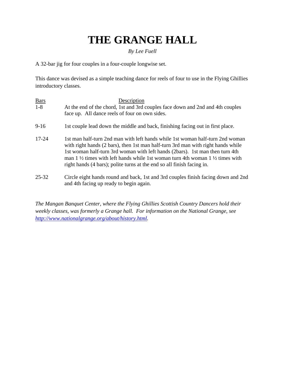### **THE GRANGE HALL**

#### *By Lee Fuell*

A 32-bar jig for four couples in a four-couple longwise set.

This dance was devised as a simple teaching dance for reels of four to use in the Flying Ghillies introductory classes.

| <b>Bars</b> | Description                                                                                                                                                                         |
|-------------|-------------------------------------------------------------------------------------------------------------------------------------------------------------------------------------|
| $1 - 8$     | At the end of the chord, 1st and 3rd couples face down and 2nd and 4th couples                                                                                                      |
|             | face up. All dance reels of four on own sides.                                                                                                                                      |
| $9-16$      | 1st couple lead down the middle and back, finishing facing out in first place.                                                                                                      |
| $17 - 24$   | 1st man half-turn 2nd man with left hands while 1st woman half-turn 2nd woman<br>with right hands (2 bars), then 1st man half-turn 3rd man with right hands while                   |
|             | 1st woman half-turn 3rd woman with left hands (2bars). 1st man then turn 4th<br>man 1 $\frac{1}{2}$ times with left hands while 1st woman turn 4th woman 1 $\frac{1}{2}$ times with |
|             | right hands (4 bars); polite turns at the end so all finish facing in.                                                                                                              |
| $25 - 32$   | Circle eight hands round and back, 1st and 3rd couples finish facing down and 2nd<br>and 4th facing up ready to begin again.                                                        |

*The Mangan Banquet Center, where the Flying Ghillies Scottish Country Dancers hold their weekly classes, was formerly a Grange hall. For information on the National Grange, see http://www.nationalgrange.org/about/history.html.*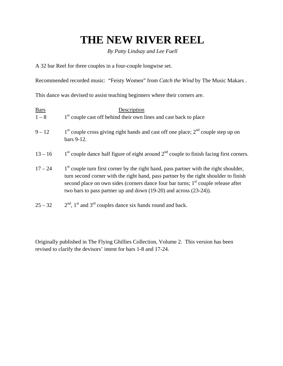### **THE NEW RIVER REEL**

*By Patty Lindsay and Lee Fuell* 

A 32 bar Reel for three couples in a four-couple longwise set.

Recommended recorded music: "Feisty Women" from *Catch the Wind* by The Music Makars .

This dance was devised to assist teaching beginners where their corners are.

| <b>Bars</b> | Description                                                                                                                                                                                                                                                                                                                                                     |
|-------------|-----------------------------------------------------------------------------------------------------------------------------------------------------------------------------------------------------------------------------------------------------------------------------------------------------------------------------------------------------------------|
| $1 - 8$     | 1 <sup>st</sup> couple cast off behind their own lines and cast back to place                                                                                                                                                                                                                                                                                   |
| $9 - 12$    | $1st$ couple cross giving right hands and cast off one place; $2nd$ couple step up on<br>bars 9-12.                                                                                                                                                                                                                                                             |
| $13 - 16$   | $1st$ couple dance half figure of eight around $2nd$ couple to finish facing first corners.                                                                                                                                                                                                                                                                     |
| $17 - 24$   | 1 <sup>st</sup> couple turn first corner by the right hand, pass partner with the right shoulder,<br>turn second corner with the right hand, pass partner by the right shoulder to finish<br>second place on own sides (corners dance four bar turns; 1 <sup>st</sup> couple release after<br>two bars to pass partner up and down (19-20) and across (23-24)). |
| $25 - 32$   | $2nd$ , 1 <sup>st</sup> and 3 <sup>rd</sup> couples dance six hands round and back.                                                                                                                                                                                                                                                                             |

Originally published in The Flying Ghillies Collection, Volume 2. This version has been revised to clarify the devisors' intent for bars 1-8 and 17-24.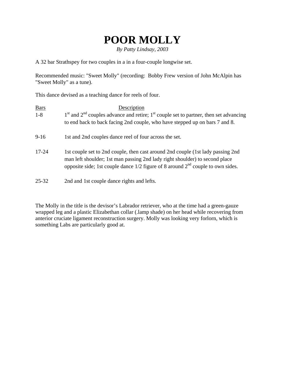### **POOR MOLLY**

*By Patty Lindsay, 2003* 

A 32 bar Strathspey for two couples in a in a four-couple longwise set.

Recommended music: "Sweet Molly" (recording: Bobby Frew version of John McAlpin has "Sweet Molly" as a tune).

This dance devised as a teaching dance for reels of four.

| <b>Bars</b> | Description                                                                                                                                                                                                                                            |
|-------------|--------------------------------------------------------------------------------------------------------------------------------------------------------------------------------------------------------------------------------------------------------|
| $1 - 8$     | $1st$ and $2nd$ couples advance and retire; $1st$ couple set to partner, then set advancing<br>to end back to back facing 2nd couple, who have stepped up on bars 7 and 8.                                                                             |
| $9 - 16$    | 1st and 2nd couples dance reel of four across the set.                                                                                                                                                                                                 |
| $17 - 24$   | 1st couple set to 2nd couple, then cast around 2nd couple (1st lady passing 2nd)<br>man left shoulder; 1st man passing 2nd lady right shoulder) to second place<br>opposite side; 1st couple dance $1/2$ figure of 8 around $2nd$ couple to own sides. |
| $25 - 32$   | 2nd and 1st couple dance rights and lefts.                                                                                                                                                                                                             |

The Molly in the title is the devisor's Labrador retriever, who at the time had a green-gauze wrapped leg and a plastic Elizabethan collar (.lamp shade) on her head while recovering from anterior cruciate ligament reconstruction surgery. Molly was looking very forlorn, which is something Labs are particularly good at.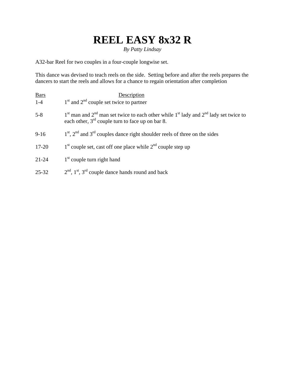### **REEL EASY 8x32 R**

*By Patty Lindsay* 

A32-bar Reel for two couples in a four-couple longwise set.

This dance was devised to teach reels on the side. Setting before and after the reels prepares the dancers to start the reels and allows for a chance to regain orientation after completion

| <b>Bars</b> | Description                                                                                                                                        |
|-------------|----------------------------------------------------------------------------------------------------------------------------------------------------|
| $1 - 4$     | $1st$ and $2nd$ couple set twice to partner                                                                                                        |
| $5 - 8$     | $1st$ man and $2nd$ man set twice to each other while $1st$ lady and $2nd$ lady set twice to<br>each other, $3rd$ couple turn to face up on bar 8. |
| $9-16$      | $1st$ , $2nd$ and $3rd$ couples dance right shoulder reels of three on the sides                                                                   |
| 17-20       | $1st$ couple set, cast off one place while $2nd$ couple step up                                                                                    |
| $21 - 24$   | $1st$ couple turn right hand                                                                                                                       |
| $25 - 32$   | $2nd$ , 1 <sup>st</sup> , 3 <sup>rd</sup> couple dance hands round and back                                                                        |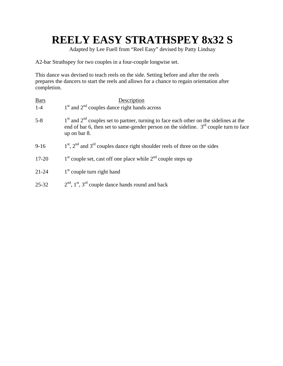### **REELY EASY STRATHSPEY 8x32 S**

Adapted by Lee Fuell from "Reel Easy" devised by Patty Lindsay

A2-bar Strathspey for two couples in a four-couple longwise set.

This dance was devised to teach reels on the side. Setting before and after the reels prepares the dancers to start the reels and allows for a chance to regain orientation after completion.

| <b>Bars</b> | Description                                                                                                                                                                                           |
|-------------|-------------------------------------------------------------------------------------------------------------------------------------------------------------------------------------------------------|
| $1 - 4$     | $1st$ and $2nd$ couples dance right hands across                                                                                                                                                      |
| $5 - 8$     | $1st$ and $2nd$ couples set to partner, turning to face each other on the sidelines at the<br>end of bar 6, then set to same-gender person on the sideline. $3rd$ couple turn to face<br>up on bar 8. |
| $9-16$      | $1st$ , $2nd$ and $3rd$ couples dance right shoulder reels of three on the sides                                                                                                                      |
| $17 - 20$   | $1st$ couple set, cast off one place while $2nd$ couple steps up                                                                                                                                      |
| $21 - 24$   | $1st$ couple turn right hand                                                                                                                                                                          |
| $25 - 32$   | $2nd$ , 1 <sup>st</sup> , 3 <sup>rd</sup> couple dance hands round and back                                                                                                                           |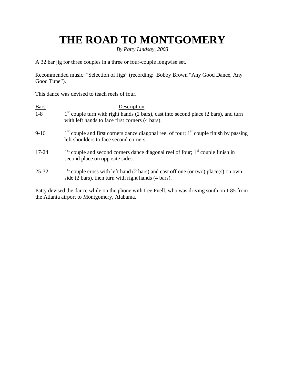### **THE ROAD TO MONTGOMERY**

*By Patty Lindsay, 2003* 

A 32 bar jig for three couples in a three or four-couple longwise set.

Recommended music: "Selection of Jigs" (recording: Bobby Brown "Any Good Dance, Any Good Tune").

This dance was devised to teach reels of four.

| <b>Bars</b> | Description                                                                                                                                 |
|-------------|---------------------------------------------------------------------------------------------------------------------------------------------|
| $1 - 8$     | $1st$ couple turn with right hands (2 bars), cast into second place (2 bars), and turn<br>with left hands to face first corners (4 bars).   |
| $9 - 16$    | $1st$ couple and first corners dance diagonal reel of four; $1st$ couple finish by passing<br>left shoulders to face second corners.        |
| $17 - 24$   | $1st$ couple and second corners dance diagonal reel of four; $1st$ couple finish in<br>second place on opposite sides.                      |
| $25 - 32$   | $1st$ couple cross with left hand (2 bars) and cast off one (or two) place(s) on own<br>side (2 bars), then turn with right hands (4 bars). |

Patty devised the dance while on the phone with Lee Fuell, who was driving south on I-85 from the Atlanta airport to Montgomery, Alabama.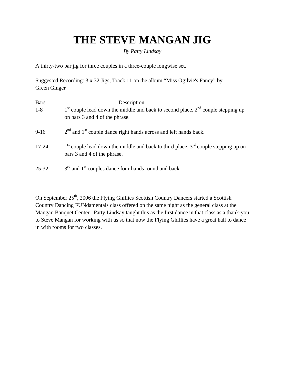### **THE STEVE MANGAN JIG**

#### *By Patty Lindsay*

A thirty-two bar jig for three couples in a three-couple longwise set.

Suggested Recording: 3 x 32 Jigs, Track 11 on the album "Miss Ogilvie's Fancy" by Green Ginger

| <b>Bars</b> | Description                                                                                                            |
|-------------|------------------------------------------------------------------------------------------------------------------------|
| $1 - 8$     | $1st$ couple lead down the middle and back to second place, $2nd$ couple stepping up<br>on bars 3 and 4 of the phrase. |
| $9-16$      | $2nd$ and $1st$ couple dance right hands across and left hands back.                                                   |
| $17 - 24$   | $1st$ couple lead down the middle and back to third place, $3rd$ couple stepping up on<br>bars 3 and 4 of the phrase.  |
| $25 - 32$   | $3rd$ and $1st$ couples dance four hands round and back.                                                               |

On September 25<sup>th</sup>, 2006 the Flying Ghillies Scottish Country Dancers started a Scottish Country Dancing FUNdamentals class offered on the same night as the general class at the Mangan Banquet Center. Patty Lindsay taught this as the first dance in that class as a thank-you to Steve Mangan for working with us so that now the Flying Ghillies have a great hall to dance in with rooms for two classes.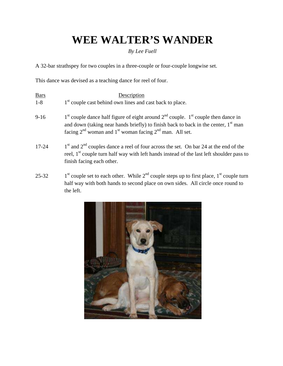### **WEE WALTER'S WANDER**

*By Lee Fuell* 

A 32-bar strathspey for two couples in a three-couple or four-couple longwise set.

This dance was devised as a teaching dance for reel of four.

| <b>Bars</b> | Description                                                                                                                                                                                                                                                         |
|-------------|---------------------------------------------------------------------------------------------------------------------------------------------------------------------------------------------------------------------------------------------------------------------|
| $1-8$       | 1 <sup>st</sup> couple cast behind own lines and cast back to place.                                                                                                                                                                                                |
| $9-16$      | $1st$ couple dance half figure of eight around $2nd$ couple. $1st$ couple then dance in<br>and down (taking near hands briefly) to finish back to back in the center, 1 <sup>st</sup> man<br>facing $2^{nd}$ woman and $1^{st}$ woman facing $2^{nd}$ man. All set. |
| $17 - 24$   | $1st$ and $2nd$ couples dance a reel of four across the set. On bar 24 at the end of the<br>reel, $1st$ couple turn half way with left hands instead of the last left shoulder pass to<br>finish facing each other.                                                 |
| 25.22       | $1st$ gougle get to each other. While $2nd$ gougle steps up to first place $1st$ gougle turn                                                                                                                                                                        |

25-32 1<sup>st</sup> couple set to each other. While  $2^{nd}$  couple steps up to first place,  $1^{st}$  couple turn half way with both hands to second place on own sides. All circle once round to the left.